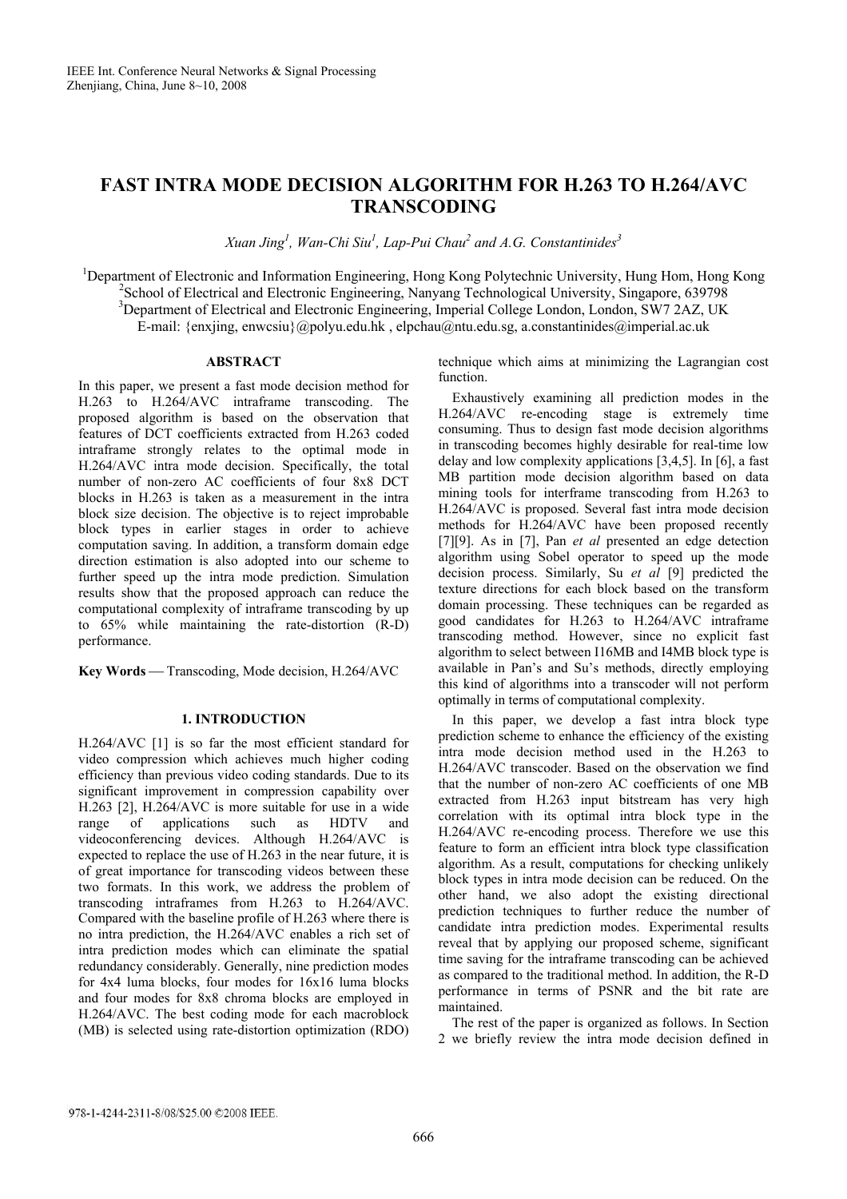# **FAST INTRA MODE DECISION ALGORITHM FOR H.263 TO H.264/AVC TRANSCODING**

*Xuan Jing1 , Wan-Chi Siu1 , Lap-Pui Chau<sup>2</sup> and A.G. Constantinides3* 

<sup>1</sup>Department of Electronic and Information Engineering, Hong Kong Polytechnic University, Hung Hom, Hong Kong <sup>2</sup> School of Electrical and Electronic Engineering, Nanyang Technological University, Singapore, 639798 <sup>3</sup>Department of Electrical and Electronic Engineering, Imperial College London, London, SW7 2AZ, UK E-mail: {enxjing, enwcsiu}@polyu.edu.hk , elpchau@ntu.edu.sg, a.constantinides@imperial.ac.uk

## **ABSTRACT**

In this paper, we present a fast mode decision method for H.263 to H.264/AVC intraframe transcoding. The proposed algorithm is based on the observation that features of DCT coefficients extracted from H.263 coded intraframe strongly relates to the optimal mode in H.264/AVC intra mode decision. Specifically, the total number of non-zero AC coefficients of four 8x8 DCT blocks in H.263 is taken as a measurement in the intra block size decision. The objective is to reject improbable block types in earlier stages in order to achieve computation saving. In addition, a transform domain edge direction estimation is also adopted into our scheme to further speed up the intra mode prediction. Simulation results show that the proposed approach can reduce the computational complexity of intraframe transcoding by up to 65% while maintaining the rate-distortion (R-D) performance.

**Key Words** — Transcoding, Mode decision, H.264/AVC

## **1. INTRODUCTION**

H.264/AVC [1] is so far the most efficient standard for video compression which achieves much higher coding efficiency than previous video coding standards. Due to its significant improvement in compression capability over H.263 [2], H.264/AVC is more suitable for use in a wide range of applications such as HDTV and videoconferencing devices. Although H.264/AVC is expected to replace the use of H.263 in the near future, it is of great importance for transcoding videos between these two formats. In this work, we address the problem of transcoding intraframes from H.263 to H.264/AVC. Compared with the baseline profile of H.263 where there is no intra prediction, the H.264/AVC enables a rich set of intra prediction modes which can eliminate the spatial redundancy considerably. Generally, nine prediction modes for 4x4 luma blocks, four modes for 16x16 luma blocks and four modes for 8x8 chroma blocks are employed in H.264/AVC. The best coding mode for each macroblock (MB) is selected using rate-distortion optimization (RDO) technique which aims at minimizing the Lagrangian cost function.

 Exhaustively examining all prediction modes in the H.264/AVC re-encoding stage is extremely time consuming. Thus to design fast mode decision algorithms in transcoding becomes highly desirable for real-time low delay and low complexity applications [3,4,5]. In [6], a fast MB partition mode decision algorithm based on data mining tools for interframe transcoding from H.263 to H.264/AVC is proposed. Several fast intra mode decision methods for H.264/AVC have been proposed recently [7][9]. As in [7], Pan *et al* presented an edge detection algorithm using Sobel operator to speed up the mode decision process. Similarly, Su *et al* [9] predicted the texture directions for each block based on the transform domain processing. These techniques can be regarded as good candidates for H.263 to H.264/AVC intraframe transcoding method. However, since no explicit fast algorithm to select between I16MB and I4MB block type is available in Pan's and Su's methods, directly employing this kind of algorithms into a transcoder will not perform optimally in terms of computational complexity.

 In this paper, we develop a fast intra block type prediction scheme to enhance the efficiency of the existing intra mode decision method used in the H.263 to H.264/AVC transcoder. Based on the observation we find that the number of non-zero AC coefficients of one MB extracted from H.263 input bitstream has very high correlation with its optimal intra block type in the H.264/AVC re-encoding process. Therefore we use this feature to form an efficient intra block type classification algorithm. As a result, computations for checking unlikely block types in intra mode decision can be reduced. On the other hand, we also adopt the existing directional prediction techniques to further reduce the number of candidate intra prediction modes. Experimental results reveal that by applying our proposed scheme, significant time saving for the intraframe transcoding can be achieved as compared to the traditional method. In addition, the R-D performance in terms of PSNR and the bit rate are maintained.

 The rest of the paper is organized as follows. In Section 2 we briefly review the intra mode decision defined in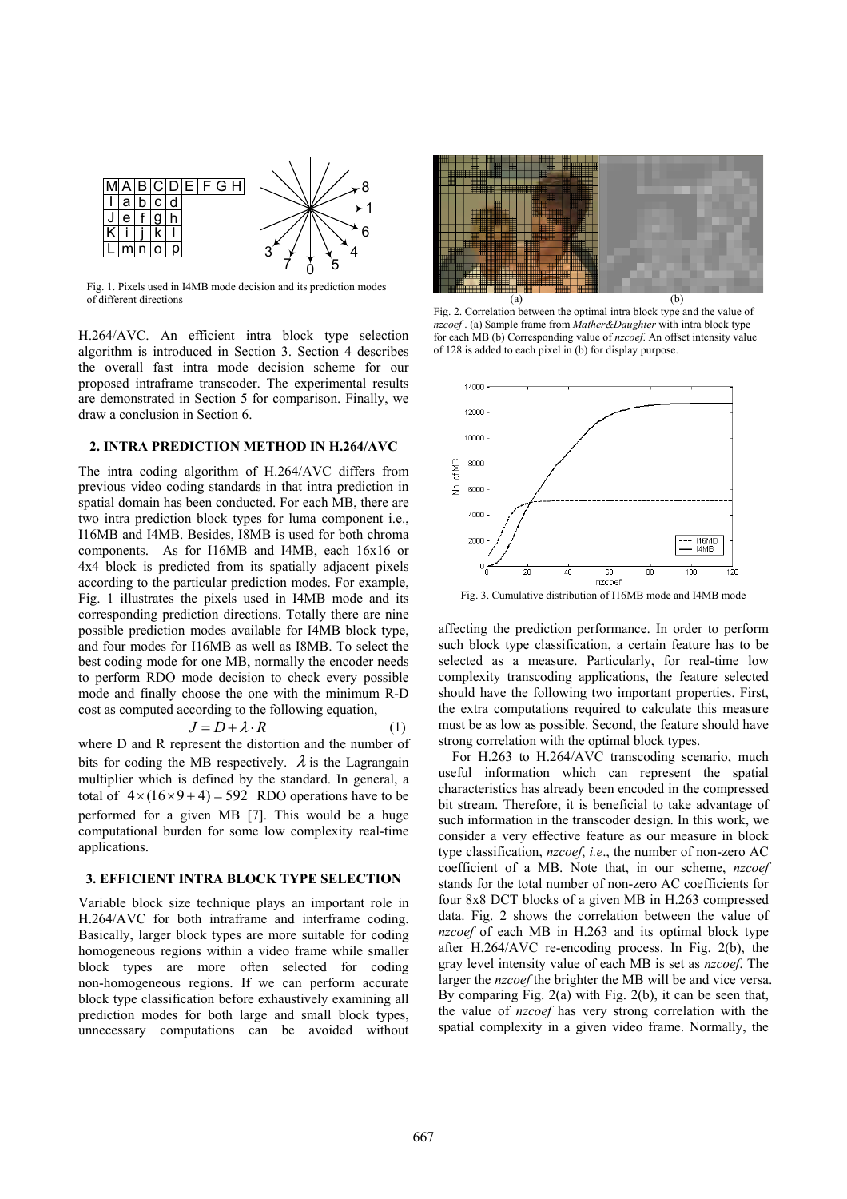

Fig. 1. Pixels used in I4MB mode decision and its prediction modes of different directions

H.264/AVC. An efficient intra block type selection algorithm is introduced in Section 3. Section 4 describes the overall fast intra mode decision scheme for our proposed intraframe transcoder. The experimental results are demonstrated in Section 5 for comparison. Finally, we draw a conclusion in Section 6.

### **2. INTRA PREDICTION METHOD IN H.264/AVC**

The intra coding algorithm of H.264/AVC differs from previous video coding standards in that intra prediction in spatial domain has been conducted. For each MB, there are two intra prediction block types for luma component i.e., I16MB and I4MB. Besides, I8MB is used for both chroma components. As for I16MB and I4MB, each 16x16 or 4x4 block is predicted from its spatially adjacent pixels according to the particular prediction modes. For example, Fig. 1 illustrates the pixels used in I4MB mode and its corresponding prediction directions. Totally there are nine possible prediction modes available for I4MB block type, and four modes for I16MB as well as I8MB. To select the best coding mode for one MB, normally the encoder needs to perform RDO mode decision to check every possible mode and finally choose the one with the minimum R-D cost as computed according to the following equation,

$$
J = D + \lambda \cdot R \tag{1}
$$

where D and R represent the distortion and the number of bits for coding the MB respectively.  $\lambda$  is the Lagrangain multiplier which is defined by the standard. In general, a total of  $4 \times (16 \times 9 + 4) = 592$  RDO operations have to be performed for a given MB [7]. This would be a huge computational burden for some low complexity real-time applications.

## **3. EFFICIENT INTRA BLOCK TYPE SELECTION**

Variable block size technique plays an important role in H.264/AVC for both intraframe and interframe coding. Basically, larger block types are more suitable for coding homogeneous regions within a video frame while smaller block types are more often selected for coding non-homogeneous regions. If we can perform accurate block type classification before exhaustively examining all prediction modes for both large and small block types, unnecessary computations can be avoided without



Fig. 2. Correlation between the optimal intra block type and the value of *nzcoef* . (a) Sample frame from *Mather&Daughter* with intra block type for each MB (b) Corresponding value of *nzcoef*. An offset intensity value of 128 is added to each pixel in (b) for display purpose.



Fig. 3. Cumulative distribution of I16MB mode and I4MB mode

affecting the prediction performance. In order to perform such block type classification, a certain feature has to be selected as a measure. Particularly, for real-time low complexity transcoding applications, the feature selected should have the following two important properties. First, the extra computations required to calculate this measure must be as low as possible. Second, the feature should have strong correlation with the optimal block types.

 For H.263 to H.264/AVC transcoding scenario, much useful information which can represent the spatial characteristics has already been encoded in the compressed bit stream. Therefore, it is beneficial to take advantage of such information in the transcoder design. In this work, we consider a very effective feature as our measure in block type classification, *nzcoef*, *i.e*., the number of non-zero AC coefficient of a MB. Note that, in our scheme, *nzcoef* stands for the total number of non-zero AC coefficients for four 8x8 DCT blocks of a given MB in H.263 compressed data. Fig. 2 shows the correlation between the value of *nzcoef* of each MB in H.263 and its optimal block type after H.264/AVC re-encoding process. In Fig. 2(b), the gray level intensity value of each MB is set as *nzcoef*. The larger the *nzcoef* the brighter the MB will be and vice versa. By comparing Fig. 2(a) with Fig. 2(b), it can be seen that, the value of *nzcoef* has very strong correlation with the spatial complexity in a given video frame. Normally, the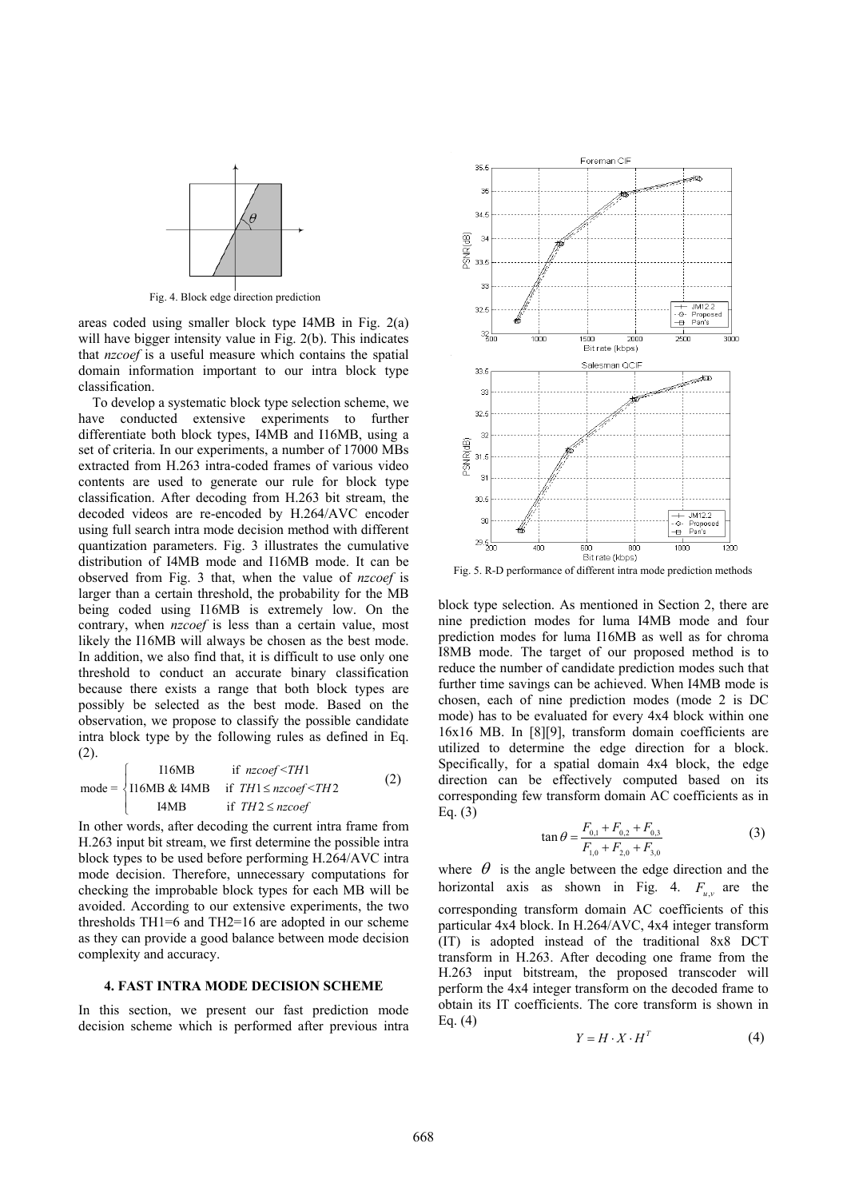

Fig. 4. Block edge direction prediction

areas coded using smaller block type I4MB in Fig. 2(a) will have bigger intensity value in Fig. 2(b). This indicates that *nzcoef* is a useful measure which contains the spatial domain information important to our intra block type classification.

 To develop a systematic block type selection scheme, we have conducted extensive experiments to further differentiate both block types, I4MB and I16MB, using a set of criteria. In our experiments, a number of 17000 MBs extracted from H.263 intra-coded frames of various video contents are used to generate our rule for block type classification. After decoding from H.263 bit stream, the decoded videos are re-encoded by H.264/AVC encoder using full search intra mode decision method with different quantization parameters. Fig. 3 illustrates the cumulative distribution of I4MB mode and I16MB mode. It can be observed from Fig. 3 that, when the value of *nzcoef* is larger than a certain threshold, the probability for the MB being coded using I16MB is extremely low. On the contrary, when *nzcoef* is less than a certain value, most likely the I16MB will always be chosen as the best mode. In addition, we also find that, it is difficult to use only one threshold to conduct an accurate binary classification because there exists a range that both block types are possibly be selected as the best mode. Based on the observation, we propose to classify the possible candidate intra block type by the following rules as defined in Eq. (2).

$$
mode = \begin{cases} 116MB & \text{if } nzcoef < TH1 \\ 116MB & \text{if } TH1 \leq nzcoef < TH2 \\ 14MB & \text{if } TH2 \leq nzcoef \end{cases} \tag{2}
$$

In other words, after decoding the current intra frame from H.263 input bit stream, we first determine the possible intra block types to be used before performing H.264/AVC intra mode decision. Therefore, unnecessary computations for checking the improbable block types for each MB will be avoided. According to our extensive experiments, the two thresholds TH1=6 and TH2=16 are adopted in our scheme as they can provide a good balance between mode decision complexity and accuracy.

#### **4. FAST INTRA MODE DECISION SCHEME**

In this section, we present our fast prediction mode decision scheme which is performed after previous intra



Fig. 5. R-D performance of different intra mode prediction methods

block type selection. As mentioned in Section 2, there are nine prediction modes for luma I4MB mode and four prediction modes for luma I16MB as well as for chroma I8MB mode. The target of our proposed method is to reduce the number of candidate prediction modes such that further time savings can be achieved. When I4MB mode is chosen, each of nine prediction modes (mode 2 is DC mode) has to be evaluated for every 4x4 block within one 16x16 MB. In [8][9], transform domain coefficients are utilized to determine the edge direction for a block. Specifically, for a spatial domain 4x4 block, the edge direction can be effectively computed based on its corresponding few transform domain AC coefficients as in Eq. (3)

$$
\tan \theta = \frac{F_{0,1} + F_{0,2} + F_{0,3}}{F_{1,0} + F_{2,0} + F_{3,0}}\tag{3}
$$

where  $\theta$  is the angle between the edge direction and the horizontal axis as shown in Fig. 4.  $F_{u,v}$  are the corresponding transform domain AC coefficients of this particular 4x4 block. In H.264/AVC, 4x4 integer transform (IT) is adopted instead of the traditional 8x8 DCT transform in H.263. After decoding one frame from the H.263 input bitstream, the proposed transcoder will perform the 4x4 integer transform on the decoded frame to obtain its IT coefficients. The core transform is shown in Eq. (4)

$$
Y = H \cdot X \cdot H^T \tag{4}
$$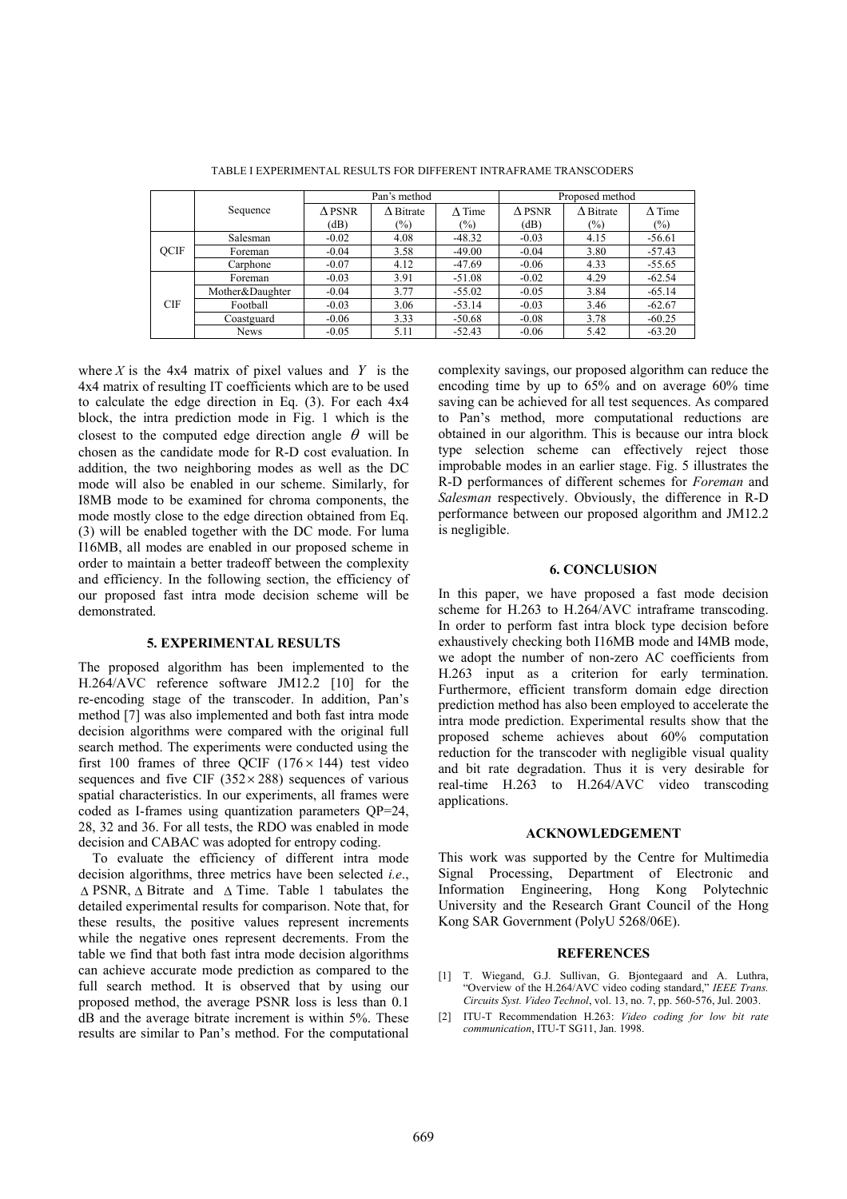|             |                 | Pan's method     |                   |                | Proposed method  |                   |                |
|-------------|-----------------|------------------|-------------------|----------------|------------------|-------------------|----------------|
|             | Sequence        | $\triangle$ PSNR | $\Lambda$ Bitrate | $\Lambda$ Time | $\triangle$ PSNR | $\Lambda$ Bitrate | $\Lambda$ Time |
|             |                 | (dB)             | $(\%)$            | $\frac{1}{2}$  | (dB)             | $(\%)$            | $(\%)$         |
| <b>OCIF</b> | Salesman        | $-0.02$          | 4.08              | $-48.32$       | $-0.03$          | 4.15              | $-56.61$       |
|             | Foreman         | $-0.04$          | 3.58              | $-49.00$       | $-0.04$          | 3.80              | $-57.43$       |
|             | Carphone        | $-0.07$          | 4.12              | $-47.69$       | $-0.06$          | 4.33              | $-55.65$       |
| <b>CIF</b>  | Foreman         | $-0.03$          | 3.91              | $-51.08$       | $-0.02$          | 4.29              | $-62.54$       |
|             | Mother&Daughter | $-0.04$          | 3.77              | $-55.02$       | $-0.05$          | 3.84              | $-65.14$       |
|             | Football        | $-0.03$          | 3.06              | $-53.14$       | $-0.03$          | 3.46              | $-62.67$       |
|             | Coastguard      | $-0.06$          | 3.33              | $-50.68$       | $-0.08$          | 3.78              | $-60.25$       |
|             | <b>News</b>     | $-0.05$          | 5.11              | $-52.43$       | $-0.06$          | 5.42              | $-63.20$       |

TABLE I EXPERIMENTAL RESULTS FOR DIFFERENT INTRAFRAME TRANSCODERS

where  $X$  is the  $4x4$  matrix of pixel values and  $Y$  is the 4x4 matrix of resulting IT coefficients which are to be used to calculate the edge direction in Eq. (3). For each 4x4 block, the intra prediction mode in Fig. 1 which is the closest to the computed edge direction angle  $\theta$  will be chosen as the candidate mode for R-D cost evaluation. In addition, the two neighboring modes as well as the DC mode will also be enabled in our scheme. Similarly, for I8MB mode to be examined for chroma components, the mode mostly close to the edge direction obtained from Eq. (3) will be enabled together with the DC mode. For luma I16MB, all modes are enabled in our proposed scheme in order to maintain a better tradeoff between the complexity and efficiency. In the following section, the efficiency of our proposed fast intra mode decision scheme will be demonstrated.

## **5. EXPERIMENTAL RESULTS**

The proposed algorithm has been implemented to the H.264/AVC reference software JM12.2 [10] for the re-encoding stage of the transcoder. In addition, Pan's method [7] was also implemented and both fast intra mode decision algorithms were compared with the original full search method. The experiments were conducted using the first 100 frames of three OCIF  $(176 \times 144)$  test video sequences and five CIF ( $352 \times 288$ ) sequences of various spatial characteristics. In our experiments, all frames were coded as I-frames using quantization parameters QP=24, 28, 32 and 36. For all tests, the RDO was enabled in mode decision and CABAC was adopted for entropy coding.

 To evaluate the efficiency of different intra mode decision algorithms, three metrics have been selected *i.e*., ∆ PSNR, ∆ Bitrate and ∆ Time. Table 1 tabulates the detailed experimental results for comparison. Note that, for these results, the positive values represent increments while the negative ones represent decrements. From the table we find that both fast intra mode decision algorithms can achieve accurate mode prediction as compared to the full search method. It is observed that by using our proposed method, the average PSNR loss is less than 0.1 dB and the average bitrate increment is within 5%. These results are similar to Pan's method. For the computational complexity savings, our proposed algorithm can reduce the encoding time by up to 65% and on average 60% time saving can be achieved for all test sequences. As compared to Pan's method, more computational reductions are obtained in our algorithm. This is because our intra block type selection scheme can effectively reject those improbable modes in an earlier stage. Fig. 5 illustrates the R-D performances of different schemes for *Foreman* and *Salesman* respectively. Obviously, the difference in R-D performance between our proposed algorithm and JM12.2 is negligible.

#### **6. CONCLUSION**

In this paper, we have proposed a fast mode decision scheme for H.263 to H.264/AVC intraframe transcoding. In order to perform fast intra block type decision before exhaustively checking both I16MB mode and I4MB mode, we adopt the number of non-zero AC coefficients from H.263 input as a criterion for early termination. Furthermore, efficient transform domain edge direction prediction method has also been employed to accelerate the intra mode prediction. Experimental results show that the proposed scheme achieves about 60% computation reduction for the transcoder with negligible visual quality and bit rate degradation. Thus it is very desirable for real-time H.263 to H.264/AVC video transcoding applications.

#### **ACKNOWLEDGEMENT**

This work was supported by the Centre for Multimedia Signal Processing, Department of Electronic and Information Engineering, Hong Kong Polytechnic University and the Research Grant Council of the Hong Kong SAR Government (PolyU 5268/06E).

#### **REFERENCES**

- [1] T. Wiegand, G.J. Sullivan, G. Biontegaard and A. Luthra, "Overview of the H.264/AVC video coding standard," *IEEE Trans. Circuits Syst. Video Technol*, vol. 13, no. 7, pp. 560-576, Jul. 2003.
- [2] ITU-T Recommendation H.263: *Video coding for low bit rate communication*, ITU-T SG11, Jan. 1998.